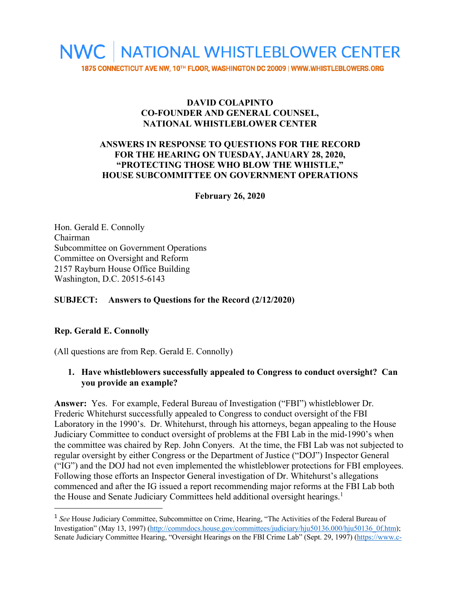

# **DAVID COLAPINTO CO-FOUNDER AND GENERAL COUNSEL, NATIONAL WHISTLEBLOWER CENTER**

### **ANSWERS IN RESPONSE TO QUESTIONS FOR THE RECORD FOR THE HEARING ON TUESDAY, JANUARY 28, 2020, "PROTECTING THOSE WHO BLOW THE WHISTLE," HOUSE SUBCOMMITTEE ON GOVERNMENT OPERATIONS**

**February 26, 2020**

Hon. Gerald E. Connolly Chairman Subcommittee on Government Operations Committee on Oversight and Reform 2157 Rayburn House Office Building Washington, D.C. 20515-6143

# **SUBJECT: Answers to Questions for the Record (2/12/2020)**

#### **Rep. Gerald E. Connolly**

(All questions are from Rep. Gerald E. Connolly)

#### **1. Have whistleblowers successfully appealed to Congress to conduct oversight? Can you provide an example?**

**Answer:** Yes. For example, Federal Bureau of Investigation ("FBI") whistleblower Dr. Frederic Whitehurst successfully appealed to Congress to conduct oversight of the FBI Laboratory in the 1990's. Dr. Whitehurst, through his attorneys, began appealing to the House Judiciary Committee to conduct oversight of problems at the FBI Lab in the mid-1990's when the committee was chaired by Rep. John Conyers. At the time, the FBI Lab was not subjected to regular oversight by either Congress or the Department of Justice ("DOJ") Inspector General ("IG") and the DOJ had not even implemented the whistleblower protections for FBI employees. Following those efforts an Inspector General investigation of Dr. Whitehurst's allegations commenced and after the IG issued a report recommending major reforms at the FBI Lab both the House and Senate Judiciary Committees held additional oversight hearings. 1

<sup>&</sup>lt;sup>1</sup> See House Judiciary Committee, Subcommittee on Crime, Hearing, "The Activities of the Federal Bureau of Investigation" (May 13, 1997) (http://commdocs.house.gov/committees/judiciary/hju50136.000/hju50136\_0f.htm); Senate Judiciary Committee Hearing, "Oversight Hearings on the FBI Crime Lab" (Sept. 29, 1997) (https://www.c-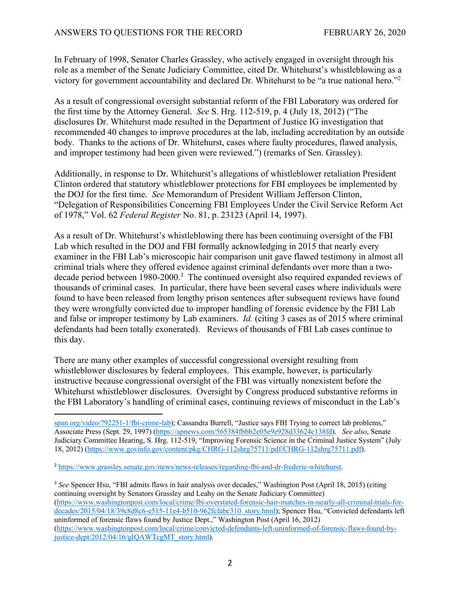In February of 1998, Senator Charles Grassley, who actively engaged in oversight through his role as a member of the Senate Judiciary Committee, cited Dr. Whitehurst's whistleblowing as a victory for government accountability and declared Dr. Whitehurst to be "a true national hero."2

As a result of congressional oversight substantial reform of the FBI Laboratory was ordered for the first time by the Attorney General. *See* S. Hrg. 112-519, p. 4 (July 18, 2012) ("The disclosures Dr. Whitehurst made resulted in the Department of Justice IG investigation that recommended 40 changes to improve procedures at the lab, including accreditation by an outside body. Thanks to the actions of Dr. Whitehurst, cases where faulty procedures, flawed analysis, and improper testimony had been given were reviewed.") (remarks of Sen. Grassley).

Additionally, in response to Dr. Whitehurst's allegations of whistleblower retaliation President Clinton ordered that statutory whistleblower protections for FBI employees be implemented by the DOJ for the first time. *See* Memorandum of President William Jefferson Clinton, "Delegation of Responsibilities Concerning FBI Employees Under the Civil Service Reform Act of 1978," Vol. 62 *Federal Register* No. 81, p. 23123 (April 14, 1997).

As a result of Dr. Whitehurst's whistleblowing there has been continuing oversight of the FBI Lab which resulted in the DOJ and FBI formally acknowledging in 2015 that nearly every examiner in the FBI Lab's microscopic hair comparison unit gave flawed testimony in almost all criminal trials where they offered evidence against criminal defendants over more than a twodecade period between 1980-2000.<sup>3</sup> The continued oversight also required expanded reviews of thousands of criminal cases. In particular, there have been several cases where individuals were found to have been released from lengthy prison sentences after subsequent reviews have found they were wrongfully convicted due to improper handling of forensic evidence by the FBI Lab and false or improper testimony by Lab examiners. *Id.* (citing 3 cases as of 2015 where criminal defendants had been totally exonerated). Reviews of thousands of FBI Lab cases continue to this day.

There are many other examples of successful congressional oversight resulting from whistleblower disclosures by federal employees. This example, however, is particularly instructive because congressional oversight of the FBI was virtually nonexistent before the Whitehurst whistleblower disclosures. Oversight by Congress produced substantive reforms in the FBI Laboratory's handling of criminal cases, continuing reviews of misconduct in the Lab's

<sup>3</sup> *See* Spencer Hsu, "FBI admits flaws in hair analysis over decades," Washington Post (April 18, 2015) (citing continuing oversight by Senators Grassley and Leahy on the Senate Judiciary Committee) (https://www.washingtonpost.com/local/crime/fbi-overstated-forensic-hair-matches-in-nearly-all-criminal-trials-fordecades/2015/04/18/39c8d8c6-e515-11e4-b510-962fcfabc310\_story.html); Spencer Hsu, "Convicted defendants left uninformed of forensic flaws found by Justice Dept.," Washington Post (April 16, 2012) (https://www.washingtonpost.com/local/crime/convicted-defendants-left-uninformed-of-forensic-flaws-found-byjustice-dept/2012/04/16/gIQAWTcgMT\_story.html).

span.org/video/?92251-1/fbi-crime-lab); Cassandra Burrell, "Justice says FBI Trying to correct lab problems," Associate Press (Sept. 29, 1997) (https://apnews.com/565384fbbb2c05e9e928d33624c138fd). *See also*, Senate Judiciary Committee Hearing, S. Hrg. 112-519, "Improving Forensic Science in the Criminal Justice System" (July 18, 2012) (https://www.govinfo.gov/content/pkg/CHRG-112shrg75711/pdf/CHRG-112shrg75711.pdf).

<sup>2</sup> https://www.grassley.senate.gov/news/news-releases/regarding-fbi-and-dr-frederic-whitehurst.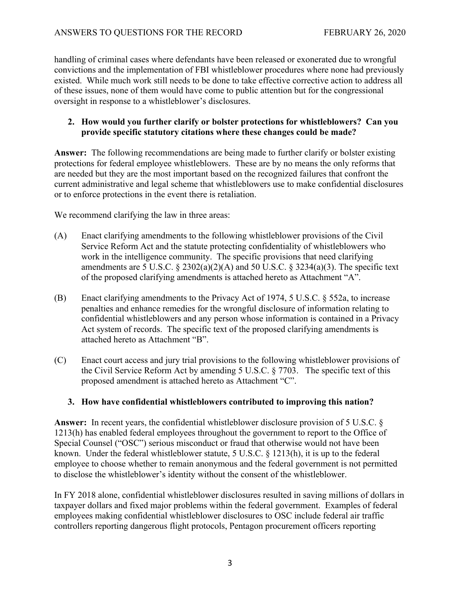handling of criminal cases where defendants have been released or exonerated due to wrongful convictions and the implementation of FBI whistleblower procedures where none had previously existed. While much work still needs to be done to take effective corrective action to address all of these issues, none of them would have come to public attention but for the congressional oversight in response to a whistleblower's disclosures.

#### **2. How would you further clarify or bolster protections for whistleblowers? Can you provide specific statutory citations where these changes could be made?**

**Answer:** The following recommendations are being made to further clarify or bolster existing protections for federal employee whistleblowers. These are by no means the only reforms that are needed but they are the most important based on the recognized failures that confront the current administrative and legal scheme that whistleblowers use to make confidential disclosures or to enforce protections in the event there is retaliation.

We recommend clarifying the law in three areas:

- (A) Enact clarifying amendments to the following whistleblower provisions of the Civil Service Reform Act and the statute protecting confidentiality of whistleblowers who work in the intelligence community. The specific provisions that need clarifying amendments are 5 U.S.C.  $\S 2302(a)(2)(A)$  and 50 U.S.C.  $\S 3234(a)(3)$ . The specific text of the proposed clarifying amendments is attached hereto as Attachment "A".
- (B) Enact clarifying amendments to the Privacy Act of 1974, 5 U.S.C. § 552a, to increase penalties and enhance remedies for the wrongful disclosure of information relating to confidential whistleblowers and any person whose information is contained in a Privacy Act system of records. The specific text of the proposed clarifying amendments is attached hereto as Attachment "B".
- (C) Enact court access and jury trial provisions to the following whistleblower provisions of the Civil Service Reform Act by amending 5 U.S.C. § 7703. The specific text of this proposed amendment is attached hereto as Attachment "C".

# **3. How have confidential whistleblowers contributed to improving this nation?**

**Answer:** In recent years, the confidential whistleblower disclosure provision of 5 U.S.C. § 1213(h) has enabled federal employees throughout the government to report to the Office of Special Counsel ("OSC") serious misconduct or fraud that otherwise would not have been known. Under the federal whistleblower statute, 5 U.S.C. § 1213(h), it is up to the federal employee to choose whether to remain anonymous and the federal government is not permitted to disclose the whistleblower's identity without the consent of the whistleblower.

In FY 2018 alone, confidential whistleblower disclosures resulted in saving millions of dollars in taxpayer dollars and fixed major problems within the federal government. Examples of federal employees making confidential whistleblower disclosures to OSC include federal air traffic controllers reporting dangerous flight protocols, Pentagon procurement officers reporting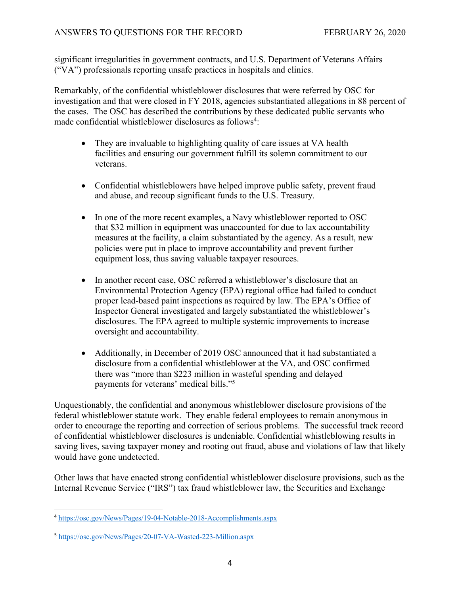significant irregularities in government contracts, and U.S. Department of Veterans Affairs ("VA") professionals reporting unsafe practices in hospitals and clinics.

Remarkably, of the confidential whistleblower disclosures that were referred by OSC for investigation and that were closed in FY 2018, agencies substantiated allegations in 88 percent of the cases. The OSC has described the contributions by these dedicated public servants who made confidential whistleblower disclosures as follows<sup>4</sup>:

- They are invaluable to highlighting quality of care issues at VA health facilities and ensuring our government fulfill its solemn commitment to our veterans.
- Confidential whistleblowers have helped improve public safety, prevent fraud and abuse, and recoup significant funds to the U.S. Treasury.
- In one of the more recent examples, a Navy whistleblower reported to OSC that \$32 million in equipment was unaccounted for due to lax accountability measures at the facility, a claim substantiated by the agency. As a result, new policies were put in place to improve accountability and prevent further equipment loss, thus saving valuable taxpayer resources.
- In another recent case, OSC referred a whistleblower's disclosure that an Environmental Protection Agency (EPA) regional office had failed to conduct proper lead‐based paint inspections as required by law. The EPA's Office of Inspector General investigated and largely substantiated the whistleblower's disclosures. The EPA agreed to multiple systemic improvements to increase oversight and accountability.
- Additionally, in December of 2019 OSC announced that it had substantiated a disclosure from a confidential whistleblower at the VA, and OSC confirmed there was "more than \$223 million in wasteful spending and delayed payments for veterans' medical bills."5

Unquestionably, the confidential and anonymous whistleblower disclosure provisions of the federal whistleblower statute work. They enable federal employees to remain anonymous in order to encourage the reporting and correction of serious problems. The successful track record of confidential whistleblower disclosures is undeniable. Confidential whistleblowing results in saving lives, saving taxpayer money and rooting out fraud, abuse and violations of law that likely would have gone undetected.

Other laws that have enacted strong confidential whistleblower disclosure provisions, such as the Internal Revenue Service ("IRS") tax fraud whistleblower law, the Securities and Exchange

<sup>4</sup> https://osc.gov/News/Pages/19-04-Notable-2018-Accomplishments.aspx

<sup>5</sup> https://osc.gov/News/Pages/20-07-VA-Wasted-223-Million.aspx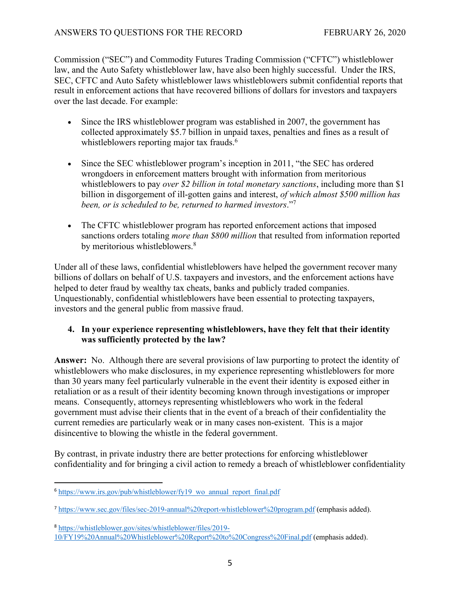Commission ("SEC") and Commodity Futures Trading Commission ("CFTC") whistleblower law, and the Auto Safety whistleblower law, have also been highly successful. Under the IRS, SEC, CFTC and Auto Safety whistleblower laws whistleblowers submit confidential reports that result in enforcement actions that have recovered billions of dollars for investors and taxpayers over the last decade. For example:

- Since the IRS whistleblower program was established in 2007, the government has collected approximately \$5.7 billion in unpaid taxes, penalties and fines as a result of whistleblowers reporting major tax frauds.<sup>6</sup>
- Since the SEC whistleblower program's inception in 2011, "the SEC has ordered wrongdoers in enforcement matters brought with information from meritorious whistleblowers to pay *over \$2 billion in total monetary sanctions*, including more than \$1 billion in disgorgement of ill-gotten gains and interest, *of which almost \$500 million has been, or is scheduled to be, returned to harmed investors*."7
- The CFTC whistleblower program has reported enforcement actions that imposed sanctions orders totaling *more than \$800 million* that resulted from information reported by meritorious whistleblowers.<sup>8</sup>

Under all of these laws, confidential whistleblowers have helped the government recover many billions of dollars on behalf of U.S. taxpayers and investors, and the enforcement actions have helped to deter fraud by wealthy tax cheats, banks and publicly traded companies. Unquestionably, confidential whistleblowers have been essential to protecting taxpayers, investors and the general public from massive fraud.

# **4. In your experience representing whistleblowers, have they felt that their identity was sufficiently protected by the law?**

**Answer:** No. Although there are several provisions of law purporting to protect the identity of whistleblowers who make disclosures, in my experience representing whistleblowers for more than 30 years many feel particularly vulnerable in the event their identity is exposed either in retaliation or as a result of their identity becoming known through investigations or improper means. Consequently, attorneys representing whistleblowers who work in the federal government must advise their clients that in the event of a breach of their confidentiality the current remedies are particularly weak or in many cases non-existent. This is a major disincentive to blowing the whistle in the federal government.

By contrast, in private industry there are better protections for enforcing whistleblower confidentiality and for bringing a civil action to remedy a breach of whistleblower confidentiality

 $6$  https://www.irs.gov/pub/whistleblower/fy19 wo annual report final.pdf

<sup>7</sup> https://www.sec.gov/files/sec-2019-annual%20report-whistleblower%20program.pdf (emphasis added).

<sup>8</sup> https://whistleblower.gov/sites/whistleblower/files/2019- 10/FY19%20Annual%20Whistleblower%20Report%20to%20Congress%20Final.pdf (emphasis added).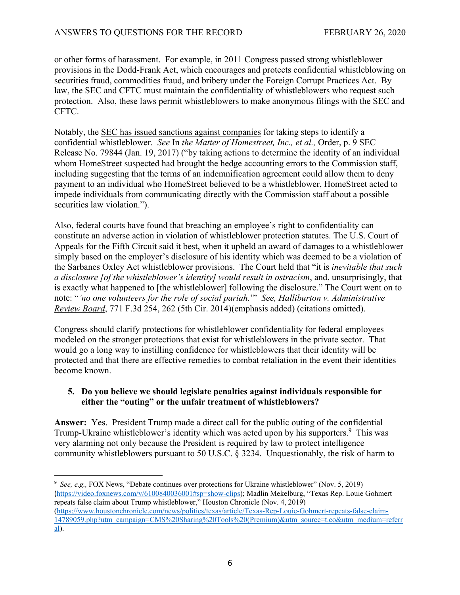or other forms of harassment. For example, in 2011 Congress passed strong whistleblower provisions in the Dodd-Frank Act, which encourages and protects confidential whistleblowing on securities fraud, commodities fraud, and bribery under the Foreign Corrupt Practices Act. By law, the SEC and CFTC must maintain the confidentiality of whistleblowers who request such protection. Also, these laws permit whistleblowers to make anonymous filings with the SEC and CFTC.

Notably, the SEC has issued sanctions against companies for taking steps to identify a confidential whistleblower. *See* In *the Matter of Homestreet, Inc., et al.,* Order, p. 9 SEC Release No. 79844 (Jan. 19, 2017) ("by taking actions to determine the identity of an individual whom HomeStreet suspected had brought the hedge accounting errors to the Commission staff, including suggesting that the terms of an indemnification agreement could allow them to deny payment to an individual who HomeStreet believed to be a whistleblower, HomeStreet acted to impede individuals from communicating directly with the Commission staff about a possible securities law violation.").

Also, federal courts have found that breaching an employee's right to confidentiality can constitute an adverse action in violation of whistleblower protection statutes. The U.S. Court of Appeals for the Fifth Circuit said it best, when it upheld an award of damages to a whistleblower simply based on the employer's disclosure of his identity which was deemed to be a violation of the Sarbanes Oxley Act whistleblower provisions. The Court held that "it is *inevitable that such a disclosure [of the whistleblower's identity] would result in ostracism*, and, unsurprisingly, that is exactly what happened to [the whistleblower] following the disclosure." The Court went on to note: "*'no one volunteers for the role of social pariah.*'" *See, Halliburton v. Administrative Review Board*, 771 F.3d 254, 262 (5th Cir. 2014)(emphasis added) (citations omitted).

Congress should clarify protections for whistleblower confidentiality for federal employees modeled on the stronger protections that exist for whistleblowers in the private sector. That would go a long way to instilling confidence for whistleblowers that their identity will be protected and that there are effective remedies to combat retaliation in the event their identities become known.

#### **5. Do you believe we should legislate penalties against individuals responsible for either the "outing" or the unfair treatment of whistleblowers?**

**Answer:** Yes. President Trump made a direct call for the public outing of the confidential Trump-Ukraine whistleblower's identity which was acted upon by his supporters.<sup>9</sup> This was very alarming not only because the President is required by law to protect intelligence community whistleblowers pursuant to 50 U.S.C. § 3234. Unquestionably, the risk of harm to

<sup>&</sup>lt;sup>9</sup> See, e.g., FOX News, "Debate continues over protections for Ukraine whistleblower" (Nov. 5, 2019) (https://video.foxnews.com/v/6100840036001#sp=show-clips); Madlin Mekelburg, "Texas Rep. Louie Gohmert repeats false claim about Trump whistleblower," Houston Chronicle (Nov. 4, 2019) (https://www.houstonchronicle.com/news/politics/texas/article/Texas-Rep-Louie-Gohmert-repeats-false-claim-14789059.php?utm\_campaign=CMS%20Sharing%20Tools%20(Premium)&utm\_source=t.co&utm\_medium=referr al).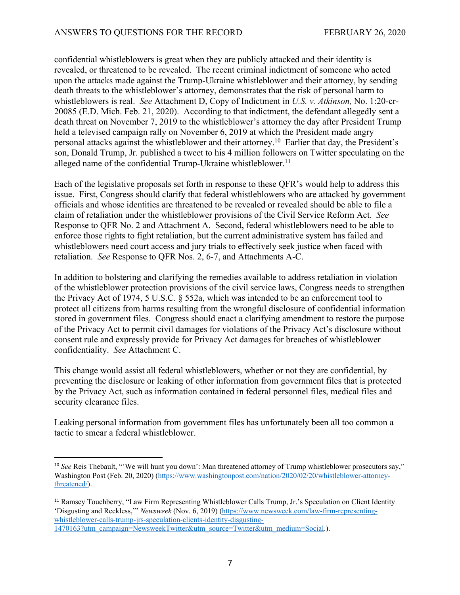confidential whistleblowers is great when they are publicly attacked and their identity is revealed, or threatened to be revealed. The recent criminal indictment of someone who acted upon the attacks made against the Trump-Ukraine whistleblower and their attorney, by sending death threats to the whistleblower's attorney, demonstrates that the risk of personal harm to whistleblowers is real. *See* Attachment D, Copy of Indictment in *U.S. v. Atkinson,* No. 1:20-cr-20085 (E.D. Mich. Feb. 21, 2020). According to that indictment, the defendant allegedly sent a death threat on November 7, 2019 to the whistleblower's attorney the day after President Trump held a televised campaign rally on November 6, 2019 at which the President made angry personal attacks against the whistleblower and their attorney.10 Earlier that day, the President's son, Donald Trump, Jr. published a tweet to his 4 million followers on Twitter speculating on the alleged name of the confidential Trump-Ukraine whistleblower.<sup>11</sup>

Each of the legislative proposals set forth in response to these QFR's would help to address this issue. First, Congress should clarify that federal whistleblowers who are attacked by government officials and whose identities are threatened to be revealed or revealed should be able to file a claim of retaliation under the whistleblower provisions of the Civil Service Reform Act. *See*  Response to QFR No. 2 and Attachment A. Second, federal whistleblowers need to be able to enforce those rights to fight retaliation, but the current administrative system has failed and whistleblowers need court access and jury trials to effectively seek justice when faced with retaliation. *See* Response to QFR Nos. 2, 6-7, and Attachments A-C.

In addition to bolstering and clarifying the remedies available to address retaliation in violation of the whistleblower protection provisions of the civil service laws, Congress needs to strengthen the Privacy Act of 1974, 5 U.S.C. § 552a, which was intended to be an enforcement tool to protect all citizens from harms resulting from the wrongful disclosure of confidential information stored in government files. Congress should enact a clarifying amendment to restore the purpose of the Privacy Act to permit civil damages for violations of the Privacy Act's disclosure without consent rule and expressly provide for Privacy Act damages for breaches of whistleblower confidentiality. *See* Attachment C.

This change would assist all federal whistleblowers, whether or not they are confidential, by preventing the disclosure or leaking of other information from government files that is protected by the Privacy Act, such as information contained in federal personnel files, medical files and security clearance files.

Leaking personal information from government files has unfortunately been all too common a tactic to smear a federal whistleblower.

<sup>&</sup>lt;sup>10</sup> See Reis Thebault, "'We will hunt you down': Man threatened attorney of Trump whistleblower prosecutors say," Washington Post (Feb. 20, 2020) (https://www.washingtonpost.com/nation/2020/02/20/whistleblower-attorneythreatened/).

<sup>&</sup>lt;sup>11</sup> Ramsey Touchberry, "Law Firm Representing Whistleblower Calls Trump, Jr.'s Speculation on Client Identity 'Disgusting and Reckless,'" *Newsweek* (Nov. 6, 2019) (https://www.newsweek.com/law-firm-representingwhistleblower-calls-trump-jrs-speculation-clients-identity-disgusting-1470163?utm\_campaign=NewsweekTwitter&utm\_source=Twitter&utm\_medium=Social.).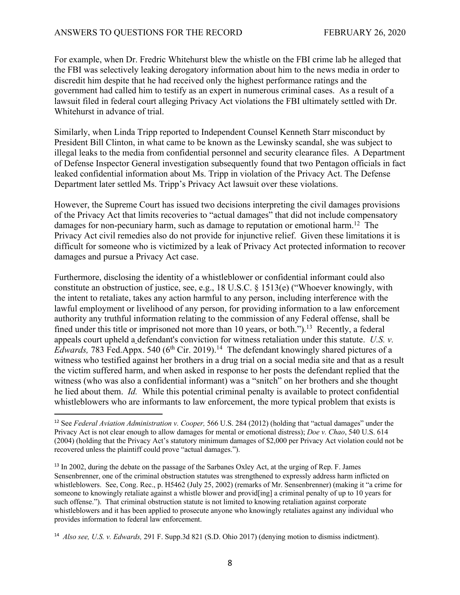For example, when Dr. Fredric Whitehurst blew the whistle on the FBI crime lab he alleged that the FBI was selectively leaking derogatory information about him to the news media in order to discredit him despite that he had received only the highest performance ratings and the government had called him to testify as an expert in numerous criminal cases. As a result of a lawsuit filed in federal court alleging Privacy Act violations the FBI ultimately settled with Dr. Whitehurst in advance of trial.

Similarly, when Linda Tripp reported to Independent Counsel Kenneth Starr misconduct by President Bill Clinton, in what came to be known as the Lewinsky scandal, she was subject to illegal leaks to the media from confidential personnel and security clearance files. A Department of Defense Inspector General investigation subsequently found that two Pentagon officials in fact leaked confidential information about Ms. Tripp in violation of the Privacy Act. The Defense Department later settled Ms. Tripp's Privacy Act lawsuit over these violations.

However, the Supreme Court has issued two decisions interpreting the civil damages provisions of the Privacy Act that limits recoveries to "actual damages" that did not include compensatory damages for non-pecuniary harm, such as damage to reputation or emotional harm.<sup>12</sup> The Privacy Act civil remedies also do not provide for injunctive relief. Given these limitations it is difficult for someone who is victimized by a leak of Privacy Act protected information to recover damages and pursue a Privacy Act case.

Furthermore, disclosing the identity of a whistleblower or confidential informant could also constitute an obstruction of justice, see, e.g., 18 U.S.C. § 1513(e) ("Whoever knowingly, with the intent to retaliate, takes any action harmful to any person, including interference with the lawful employment or livelihood of any person, for providing information to a law enforcement authority any truthful information relating to the commission of any Federal offense, shall be fined under this title or imprisoned not more than 10 years, or both." $)$ .<sup>13</sup> Recently, a federal appeals court upheld a defendant's conviction for witness retaliation under this statute. *U.S. v. Edwards, 783 Fed.Appx.* 540 (6<sup>th</sup> Cir. 2019).<sup>14</sup> The defendant knowingly shared pictures of a witness who testified against her brothers in a drug trial on a social media site and that as a result the victim suffered harm, and when asked in response to her posts the defendant replied that the witness (who was also a confidential informant) was a "snitch" on her brothers and she thought he lied about them. *Id.* While this potential criminal penalty is available to protect confidential whistleblowers who are informants to law enforcement, the more typical problem that exists is

<sup>12</sup> See *Federal Aviation Administration v. Cooper,* 566 U.S. 284 (2012) (holding that "actual damages" under the Privacy Act is not clear enough to allow damages for mental or emotional distress); *Doe v. Chao*, 540 U.S. 614 (2004) (holding that the Privacy Act's statutory minimum damages of \$2,000 per Privacy Act violation could not be recovered unless the plaintiff could prove "actual damages.").

<sup>&</sup>lt;sup>13</sup> In 2002, during the debate on the passage of the Sarbanes Oxley Act, at the urging of Rep. F. James Sensenbrenner, one of the criminal obstruction statutes was strengthened to expressly address harm inflicted on whistleblowers. See, Cong. Rec., p. H5462 (July 25, 2002) (remarks of Mr. Sensenbrenner) (making it "a crime for someone to knowingly retaliate against a whistle blower and providency a criminal penalty of up to 10 years for such offense."). That criminal obstruction statute is not limited to knowing retaliation against corporate whistleblowers and it has been applied to prosecute anyone who knowingly retaliates against any individual who provides information to federal law enforcement.

<sup>14</sup> *Also see, U.S. v. Edwards,* 291 F. Supp.3d 821 (S.D. Ohio 2017) (denying motion to dismiss indictment).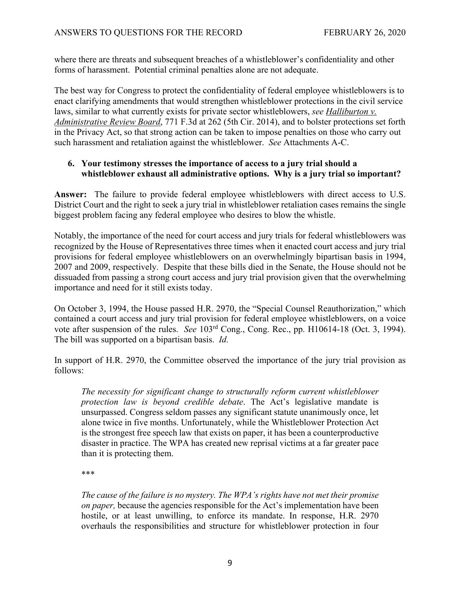where there are threats and subsequent breaches of a whistleblower's confidentiality and other forms of harassment. Potential criminal penalties alone are not adequate.

The best way for Congress to protect the confidentiality of federal employee whistleblowers is to enact clarifying amendments that would strengthen whistleblower protections in the civil service laws, similar to what currently exists for private sector whistleblowers, *see Halliburton v. Administrative Review Board*, 771 F.3d at 262 (5th Cir. 2014), and to bolster protections set forth in the Privacy Act, so that strong action can be taken to impose penalties on those who carry out such harassment and retaliation against the whistleblower. *See* Attachments A-C.

#### **6. Your testimony stresses the importance of access to a jury trial should a whistleblower exhaust all administrative options. Why is a jury trial so important?**

**Answer:** The failure to provide federal employee whistleblowers with direct access to U.S. District Court and the right to seek a jury trial in whistleblower retaliation cases remains the single biggest problem facing any federal employee who desires to blow the whistle.

Notably, the importance of the need for court access and jury trials for federal whistleblowers was recognized by the House of Representatives three times when it enacted court access and jury trial provisions for federal employee whistleblowers on an overwhelmingly bipartisan basis in 1994, 2007 and 2009, respectively. Despite that these bills died in the Senate, the House should not be dissuaded from passing a strong court access and jury trial provision given that the overwhelming importance and need for it still exists today.

On October 3, 1994, the House passed H.R. 2970, the "Special Counsel Reauthorization," which contained a court access and jury trial provision for federal employee whistleblowers, on a voice vote after suspension of the rules. *See* 103rd Cong., Cong. Rec., pp. H10614-18 (Oct. 3, 1994). The bill was supported on a bipartisan basis. *Id.*

In support of H.R. 2970, the Committee observed the importance of the jury trial provision as follows:

*The necessity for significant change to structurally reform current whistleblower protection law is beyond credible debate*. The Act's legislative mandate is unsurpassed. Congress seldom passes any significant statute unanimously once, let alone twice in five months. Unfortunately, while the Whistleblower Protection Act is the strongest free speech law that exists on paper, it has been a counterproductive disaster in practice. The WPA has created new reprisal victims at a far greater pace than it is protecting them.

\*\*\*

*The cause of the failure is no mystery. The WPA's rights have not met their promise on paper,* because the agencies responsible for the Act's implementation have been hostile, or at least unwilling, to enforce its mandate. In response, H.R. 2970 overhauls the responsibilities and structure for whistleblower protection in four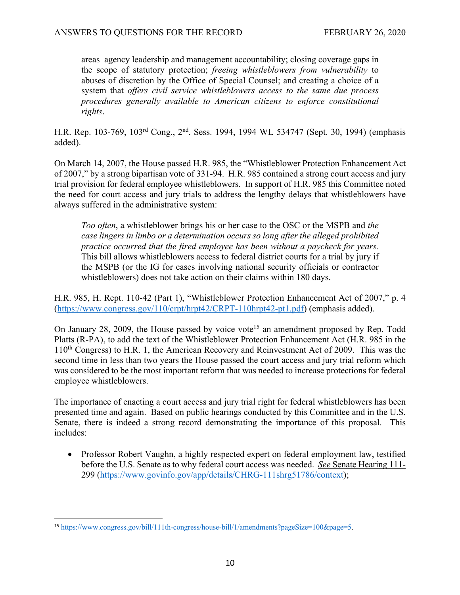areas–agency leadership and management accountability; closing coverage gaps in the scope of statutory protection; *freeing whistleblowers from vulnerability* to abuses of discretion by the Office of Special Counsel; and creating a choice of a system that *offers civil service whistleblowers access to the same due process procedures generally available to American citizens to enforce constitutional rights*.

H.R. Rep. 103-769, 103rd Cong., 2nd. Sess. 1994, 1994 WL 534747 (Sept. 30, 1994) (emphasis added).

On March 14, 2007, the House passed H.R. 985, the "Whistleblower Protection Enhancement Act of 2007," by a strong bipartisan vote of 331-94. H.R. 985 contained a strong court access and jury trial provision for federal employee whistleblowers. In support of H.R. 985 this Committee noted the need for court access and jury trials to address the lengthy delays that whistleblowers have always suffered in the administrative system:

*Too often*, a whistleblower brings his or her case to the OSC or the MSPB and *the case lingers in limbo or a determination occurs so long after the alleged prohibited practice occurred that the fired employee has been without a paycheck for years.* This bill allows whistleblowers access to federal district courts for a trial by jury if the MSPB (or the IG for cases involving national security officials or contractor whistleblowers) does not take action on their claims within 180 days.

H.R. 985, H. Rept. 110-42 (Part 1), "Whistleblower Protection Enhancement Act of 2007," p. 4 (https://www.congress.gov/110/crpt/hrpt42/CRPT-110hrpt42-pt1.pdf) (emphasis added).

On January 28, 2009, the House passed by voice vote<sup>15</sup> an amendment proposed by Rep. Todd Platts (R-PA), to add the text of the Whistleblower Protection Enhancement Act (H.R. 985 in the 110th Congress) to H.R. 1, the American Recovery and Reinvestment Act of 2009. This was the second time in less than two years the House passed the court access and jury trial reform which was considered to be the most important reform that was needed to increase protections for federal employee whistleblowers.

The importance of enacting a court access and jury trial right for federal whistleblowers has been presented time and again. Based on public hearings conducted by this Committee and in the U.S. Senate, there is indeed a strong record demonstrating the importance of this proposal. This includes:

• Professor Robert Vaughn, a highly respected expert on federal employment law, testified before the U.S. Senate as to why federal court access was needed. *See* Senate Hearing 111- 299 (https://www.govinfo.gov/app/details/CHRG-111shrg51786/context);

<sup>15</sup> https://www.congress.gov/bill/111th-congress/house-bill/1/amendments?pageSize=100&page=5.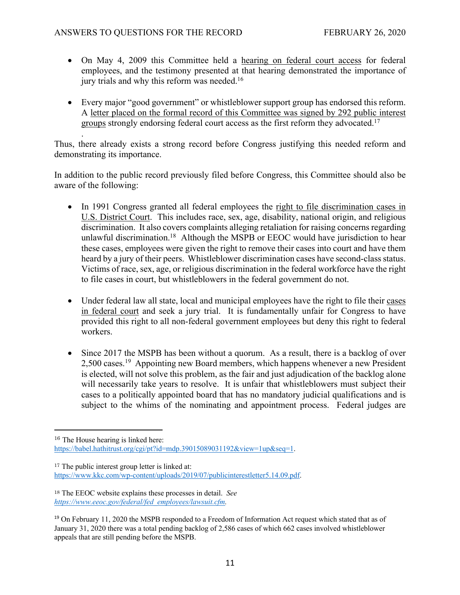- On May 4, 2009 this Committee held a hearing on federal court access for federal employees, and the testimony presented at that hearing demonstrated the importance of jury trials and why this reform was needed.<sup>16</sup>
- Every major "good government" or whistleblower support group has endorsed this reform. A letter placed on the formal record of this Committee was signed by 292 public interest groups strongly endorsing federal court access as the first reform they advocated.17

. Thus, there already exists a strong record before Congress justifying this needed reform and demonstrating its importance.

In addition to the public record previously filed before Congress, this Committee should also be aware of the following:

- In 1991 Congress granted all federal employees the right to file discrimination cases in U.S. District Court. This includes race, sex, age, disability, national origin, and religious discrimination. It also covers complaints alleging retaliation for raising concerns regarding unlawful discrimination.18 Although the MSPB or EEOC would have jurisdiction to hear these cases, employees were given the right to remove their cases into court and have them heard by a jury of their peers. Whistleblower discrimination cases have second-class status. Victims of race, sex, age, or religious discrimination in the federal workforce have the right to file cases in court, but whistleblowers in the federal government do not.
- Under federal law all state, local and municipal employees have the right to file their cases in federal court and seek a jury trial. It is fundamentally unfair for Congress to have provided this right to all non-federal government employees but deny this right to federal workers.
- Since 2017 the MSPB has been without a quorum. As a result, there is a backlog of over 2,500 cases.19 Appointing new Board members, which happens whenever a new President is elected, will not solve this problem, as the fair and just adjudication of the backlog alone will necessarily take years to resolve. It is unfair that whistleblowers must subject their cases to a politically appointed board that has no mandatory judicial qualifications and is subject to the whims of the nominating and appointment process. Federal judges are

<sup>&</sup>lt;sup>16</sup> The House hearing is linked here: https://babel.hathitrust.org/cgi/pt?id=mdp.39015089031192&view=1up&seq=1.

<sup>&</sup>lt;sup>17</sup> The public interest group letter is linked at: https://www.kkc.com/wp-content/uploads/2019/07/publicinterestletter5.14.09.pdf.

<sup>18</sup> The EEOC website explains these processes in detail. *See https://www.eeoc.gov/federal/fed\_employees/lawsuit.cfm.* 

<sup>&</sup>lt;sup>19</sup> On February 11, 2020 the MSPB responded to a Freedom of Information Act request which stated that as of January 31, 2020 there was a total pending backlog of 2,586 cases of which 662 cases involved whistleblower appeals that are still pending before the MSPB.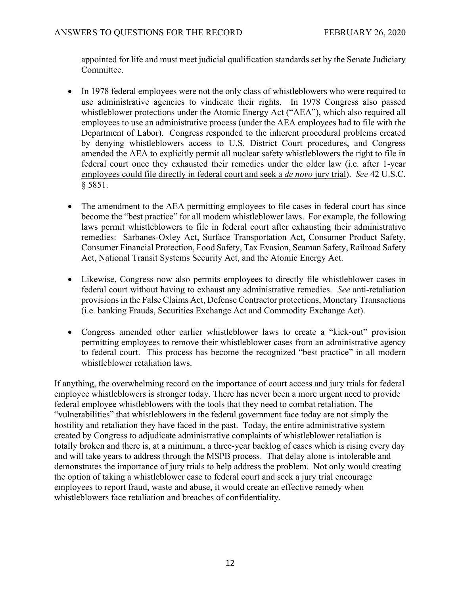appointed for life and must meet judicial qualification standards set by the Senate Judiciary Committee.

- In 1978 federal employees were not the only class of whistleblowers who were required to use administrative agencies to vindicate their rights. In 1978 Congress also passed whistleblower protections under the Atomic Energy Act ("AEA"), which also required all employees to use an administrative process (under the AEA employees had to file with the Department of Labor). Congress responded to the inherent procedural problems created by denying whistleblowers access to U.S. District Court procedures, and Congress amended the AEA to explicitly permit all nuclear safety whistleblowers the right to file in federal court once they exhausted their remedies under the older law (i.e. after 1-year employees could file directly in federal court and seek a *de novo* jury trial). *See* 42 U.S.C. § 5851.
- The amendment to the AEA permitting employees to file cases in federal court has since become the "best practice" for all modern whistleblower laws. For example, the following laws permit whistleblowers to file in federal court after exhausting their administrative remedies: Sarbanes-Oxley Act, Surface Transportation Act, Consumer Product Safety, Consumer Financial Protection, Food Safety, Tax Evasion, Seaman Safety, Railroad Safety Act, National Transit Systems Security Act, and the Atomic Energy Act.
- Likewise, Congress now also permits employees to directly file whistleblower cases in federal court without having to exhaust any administrative remedies. *See* anti-retaliation provisions in the False Claims Act, Defense Contractor protections, Monetary Transactions (i.e. banking Frauds, Securities Exchange Act and Commodity Exchange Act).
- Congress amended other earlier whistleblower laws to create a "kick-out" provision permitting employees to remove their whistleblower cases from an administrative agency to federal court. This process has become the recognized "best practice" in all modern whistleblower retaliation laws.

If anything, the overwhelming record on the importance of court access and jury trials for federal employee whistleblowers is stronger today. There has never been a more urgent need to provide federal employee whistleblowers with the tools that they need to combat retaliation. The "vulnerabilities" that whistleblowers in the federal government face today are not simply the hostility and retaliation they have faced in the past. Today, the entire administrative system created by Congress to adjudicate administrative complaints of whistleblower retaliation is totally broken and there is, at a minimum, a three-year backlog of cases which is rising every day and will take years to address through the MSPB process. That delay alone is intolerable and demonstrates the importance of jury trials to help address the problem. Not only would creating the option of taking a whistleblower case to federal court and seek a jury trial encourage employees to report fraud, waste and abuse, it would create an effective remedy when whistleblowers face retaliation and breaches of confidentiality.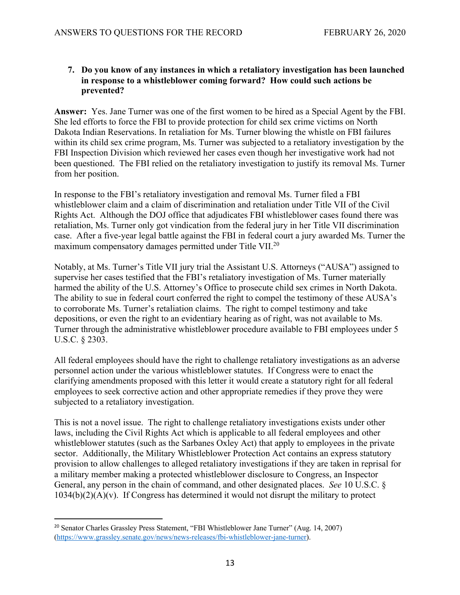## **7. Do you know of any instances in which a retaliatory investigation has been launched in response to a whistleblower coming forward? How could such actions be prevented?**

**Answer:** Yes. Jane Turner was one of the first women to be hired as a Special Agent by the FBI. She led efforts to force the FBI to provide protection for child sex crime victims on North Dakota Indian Reservations. In retaliation for Ms. Turner blowing the whistle on FBI failures within its child sex crime program, Ms. Turner was subjected to a retaliatory investigation by the FBI Inspection Division which reviewed her cases even though her investigative work had not been questioned. The FBI relied on the retaliatory investigation to justify its removal Ms. Turner from her position.

In response to the FBI's retaliatory investigation and removal Ms. Turner filed a FBI whistleblower claim and a claim of discrimination and retaliation under Title VII of the Civil Rights Act. Although the DOJ office that adjudicates FBI whistleblower cases found there was retaliation, Ms. Turner only got vindication from the federal jury in her Title VII discrimination case. After a five-year legal battle against the FBI in federal court a jury awarded Ms. Turner the maximum compensatory damages permitted under Title VII.20

Notably, at Ms. Turner's Title VII jury trial the Assistant U.S. Attorneys ("AUSA") assigned to supervise her cases testified that the FBI's retaliatory investigation of Ms. Turner materially harmed the ability of the U.S. Attorney's Office to prosecute child sex crimes in North Dakota. The ability to sue in federal court conferred the right to compel the testimony of these AUSA's to corroborate Ms. Turner's retaliation claims. The right to compel testimony and take depositions, or even the right to an evidentiary hearing as of right, was not available to Ms. Turner through the administrative whistleblower procedure available to FBI employees under 5 U.S.C. § 2303.

All federal employees should have the right to challenge retaliatory investigations as an adverse personnel action under the various whistleblower statutes. If Congress were to enact the clarifying amendments proposed with this letter it would create a statutory right for all federal employees to seek corrective action and other appropriate remedies if they prove they were subjected to a retaliatory investigation.

This is not a novel issue. The right to challenge retaliatory investigations exists under other laws, including the Civil Rights Act which is applicable to all federal employees and other whistleblower statutes (such as the Sarbanes Oxley Act) that apply to employees in the private sector. Additionally, the Military Whistleblower Protection Act contains an express statutory provision to allow challenges to alleged retaliatory investigations if they are taken in reprisal for a military member making a protected whistleblower disclosure to Congress, an Inspector General, any person in the chain of command, and other designated places. *See* 10 U.S.C. §  $1034(b)(2)(A)(v)$ . If Congress has determined it would not disrupt the military to protect

<sup>20</sup> Senator Charles Grassley Press Statement, "FBI Whistleblower Jane Turner" (Aug. 14, 2007) (https://www.grassley.senate.gov/news/news-releases/fbi-whistleblower-jane-turner).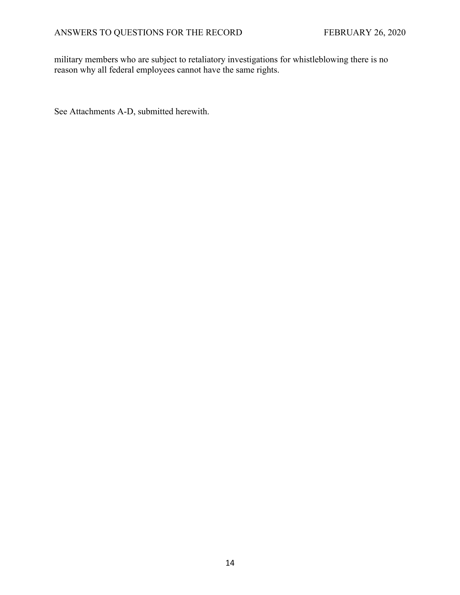military members who are subject to retaliatory investigations for whistleblowing there is no reason why all federal employees cannot have the same rights.

See Attachments A-D, submitted herewith.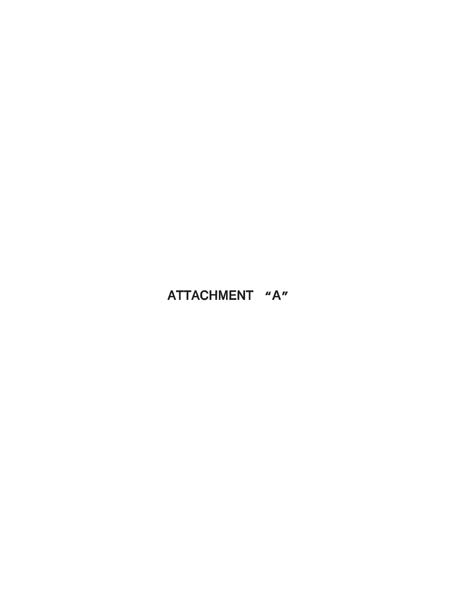# ATTACHMENT "A"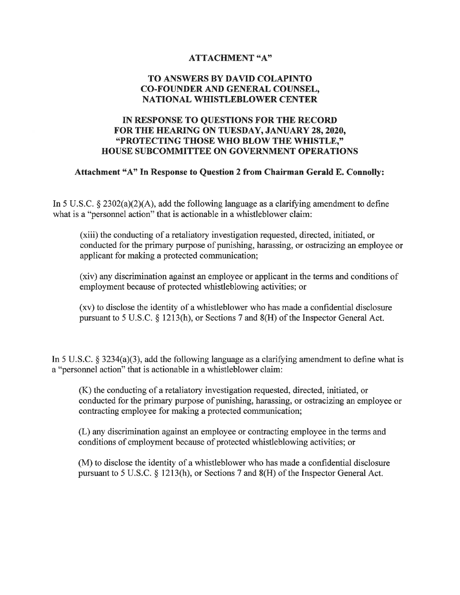#### **ATTACHMENT "A"**

#### TO ANSWERS BY DAVID COLAPINTO **CO-FOUNDER AND GENERAL COUNSEL. NATIONAL WHISTLEBLOWER CENTER**

### IN RESPONSE TO OUESTIONS FOR THE RECORD FOR THE HEARING ON TUESDAY, JANUARY 28, 2020, "PROTECTING THOSE WHO BLOW THE WHISTLE," **HOUSE SUBCOMMITTEE ON GOVERNMENT OPERATIONS**

#### Attachment "A" In Response to Question 2 from Chairman Gerald E. Connolly:

In 5 U.S.C. § 2302(a)(2)(A), add the following language as a clarifying amendment to define what is a "personnel action" that is actionable in a whistleblower claim:

(xiii) the conducting of a retaliatory investigation requested, directed, initiated, or conducted for the primary purpose of punishing, harassing, or ostracizing an employee or applicant for making a protected communication;

(xiv) any discrimination against an employee or applicant in the terms and conditions of employment because of protected whistleblowing activities; or

(xv) to disclose the identity of a whistleblower who has made a confidential disclosure pursuant to 5 U.S.C. § 1213(h), or Sections 7 and 8(H) of the Inspector General Act.

In 5 U.S.C. § 3234(a)(3), add the following language as a clarifying amendment to define what is a "personnel action" that is actionable in a whistleblower claim:

(K) the conducting of a retaliatory investigation requested, directed, initiated, or conducted for the primary purpose of punishing, harassing, or ostracizing an employee or contracting employee for making a protected communication;

(L) any discrimination against an employee or contracting employee in the terms and conditions of employment because of protected whistleblowing activities; or

(M) to disclose the identity of a whistleblower who has made a confidential disclosure pursuant to 5 U.S.C. § 1213(h), or Sections 7 and 8(H) of the Inspector General Act.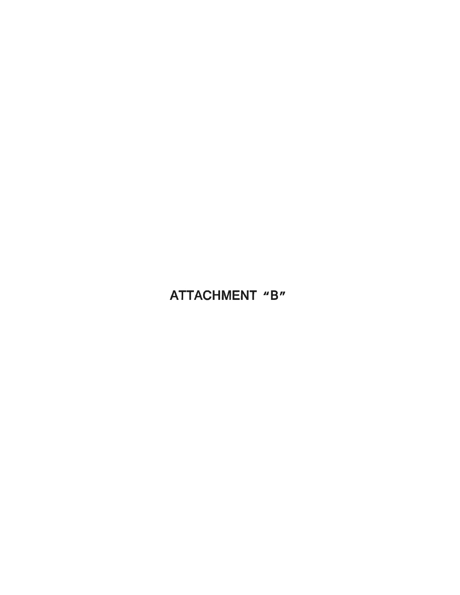# ATTACHMENT "B"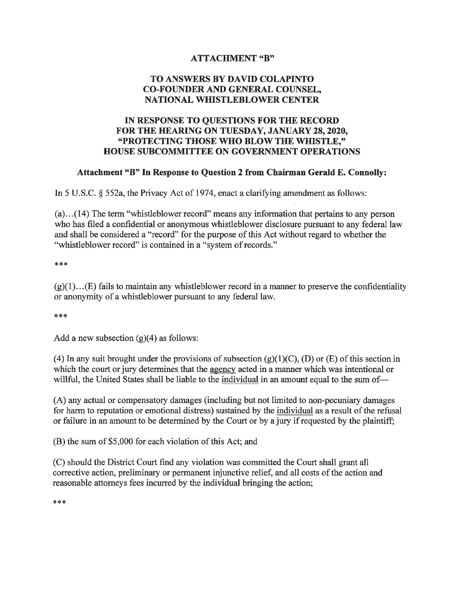### **ATTACHMENT "B"**

# TO ANSWERS BY DAVID COLAPINTO **CO-FOUNDER AND GENERAL COUNSEL. NATIONAL WHISTLEBLOWER CENTER**

# IN RESPONSE TO QUESTIONS FOR THE RECORD FOR THE HEARING ON TUESDAY, JANUARY 28, 2020, "PROTECTING THOSE WHO BLOW THE WHISTLE." **HOUSE SUBCOMMITTEE ON GOVERNMENT OPERATIONS**

#### Attachment "B" In Response to Question 2 from Chairman Gerald E. Connolly:

In 5 U.S.C.  $\S$  552a, the Privacy Act of 1974, enact a clarifying amendment as follows:

 $(a)...(14)$  The term "whistleblower record" means any information that pertains to any person who has filed a confidential or anonymous whistleblower disclosure pursuant to any federal law and shall be considered a "record" for the purpose of this Act without regard to whether the "whistleblower record" is contained in a "system of records."

\*\*\*

 $(g)(1)...(E)$  fails to maintain any whistleblower record in a manner to preserve the confidentiality or anonymity of a whistleblower pursuant to any federal law.

\*\*\*

Add a new subsection  $(g)(4)$  as follows:

(4) In any suit brought under the provisions of subsection  $(g)(1)(C)$ , (D) or (E) of this section in which the court or jury determines that the agency acted in a manner which was intentional or willful, the United States shall be liable to the individual in an amount equal to the sum of-

(A) any actual or compensatory damages (including but not limited to non-pecuniary damages for harm to reputation or emotional distress) sustained by the individual as a result of the refusal or failure in an amount to be determined by the Court or by a jury if requested by the plaintiff;

(B) the sum of \$5,000 for each violation of this Act; and

(C) should the District Court find any violation was committed the Court shall grant all corrective action, preliminary or permanent injunctive relief, and all costs of the action and reasonable attorneys fees incurred by the individual bringing the action;

\*\*\*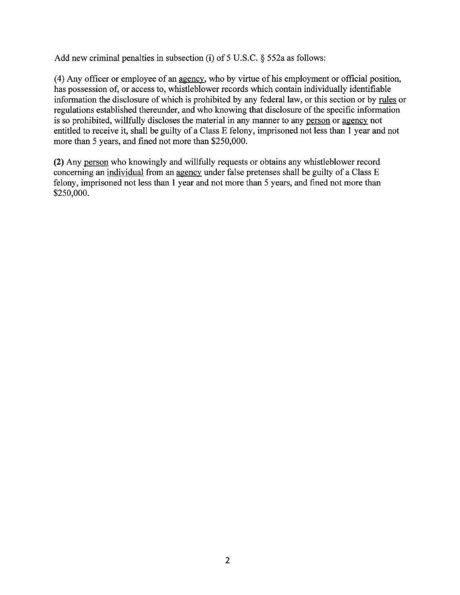Add new criminal penalties in subsection (i) of  $5$  U.S.C.  $\S$  552a as follows:

(4) Any officer or employee of an agency, who by virtue of his employment or official position, has possession of, or access to, whistleblower records which contain individually identifiable information the disclosure of which is prohibited by any federal law, or this section or by rules or regulations established thereunder, and who knowing that disclosure of the specific information is so prohibited, willfully discloses the material in any manner to any person or agency not entitled to receive it, shall be guilty of a Class E felony, imprisoned not less than 1 year and not more than 5 years, and fined not more than \$250,000.

(2) Any person who knowingly and willfully requests or obtains any whistleblower record concerning an individual from an agency under false pretenses shall be guilty of a Class E felony, imprisoned not less than 1 year and not more than 5 years, and fined not more than \$250,000.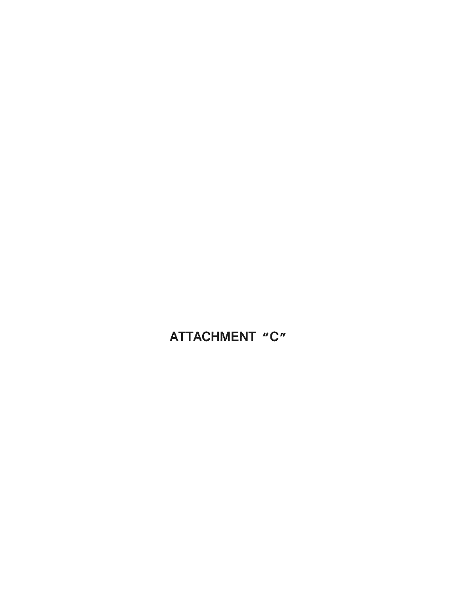ATTACHMENT "C"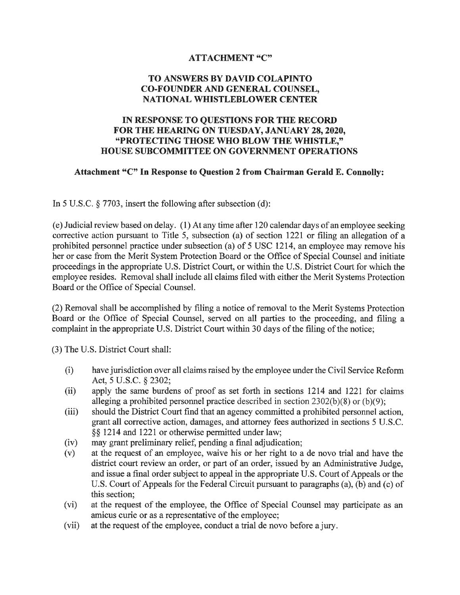#### **ATTACHMENT "C"**

## TO ANSWERS BY DAVID COLAPINTO **CO-FOUNDER AND GENERAL COUNSEL. NATIONAL WHISTLEBLOWER CENTER**

## IN RESPONSE TO QUESTIONS FOR THE RECORD FOR THE HEARING ON TUESDAY, JANUARY 28, 2020, "PROTECTING THOSE WHO BLOW THE WHISTLE," **HOUSE SUBCOMMITTEE ON GOVERNMENT OPERATIONS**

#### Attachment "C" In Response to Question 2 from Chairman Gerald E. Connolly:

In 5 U.S.C.  $\S$  7703, insert the following after subsection (d):

(e) Judicial review based on delay. (1) At any time after 120 calendar days of an employee seeking corrective action pursuant to Title 5, subsection (a) of section 1221 or filing an allegation of a prohibited personnel practice under subsection (a) of 5 USC 1214, an employee may remove his her or case from the Merit System Protection Board or the Office of Special Counsel and initiate proceedings in the appropriate U.S. District Court, or within the U.S. District Court for which the employee resides. Removal shall include all claims filed with either the Merit Systems Protection Board or the Office of Special Counsel.

(2) Removal shall be accomplished by filing a notice of removal to the Merit Systems Protection Board or the Office of Special Counsel, served on all parties to the proceeding, and filing a complaint in the appropriate U.S. District Court within 30 days of the filing of the notice;

(3) The U.S. District Court shall:

- $(i)$ have jurisdiction over all claims raised by the employee under the Civil Service Reform Act, 5 U.S.C. § 2302;
- apply the same burdens of proof as set forth in sections 1214 and 1221 for claims  $(ii)$ alleging a prohibited personnel practice described in section  $2302(b)(8)$  or  $(b)(9)$ ;
- $(iii)$ should the District Court find that an agency committed a prohibited personnel action, grant all corrective action, damages, and attorney fees authorized in sections 5 U.S.C. §§ 1214 and 1221 or otherwise permitted under law;
- may grant preliminary relief, pending a final adjudication;  $(iv)$
- at the request of an employee, waive his or her right to a de novo trial and have the  $(v)$ district court review an order, or part of an order, issued by an Administrative Judge, and issue a final order subject to appeal in the appropriate U.S. Court of Appeals or the U.S. Court of Appeals for the Federal Circuit pursuant to paragraphs (a), (b) and (c) of this section;
- $(vi)$ at the request of the employee, the Office of Special Counsel may participate as an amicus curie or as a representative of the employee;
- at the request of the employee, conduct a trial de novo before a jury.  $(vii)$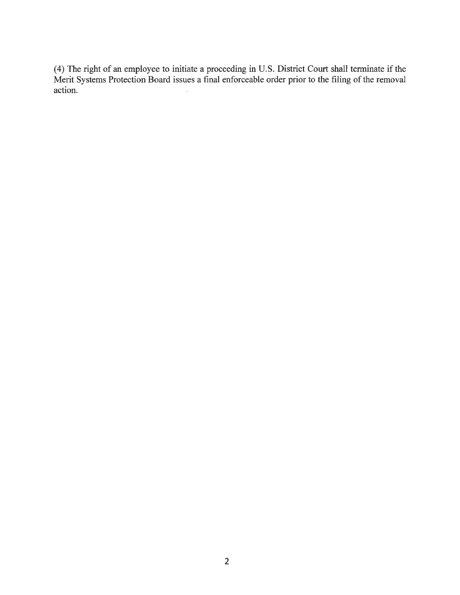(4) The right of an employee to initiate a proceeding in U.S. District Court shall terminate if the Merit Systems Protection Board issues a final enforceable order prior to the filing of the removal action.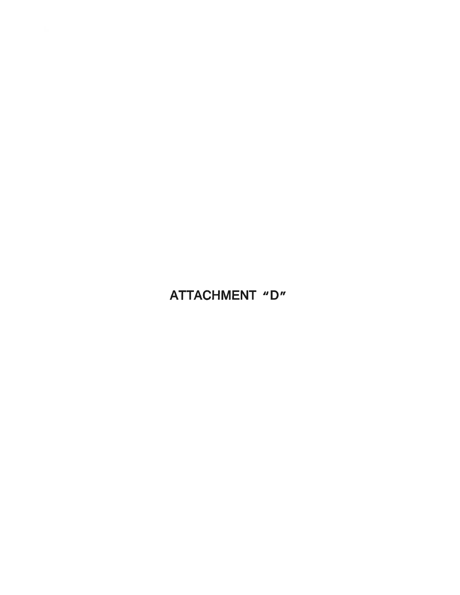# ATTACHMENT "D"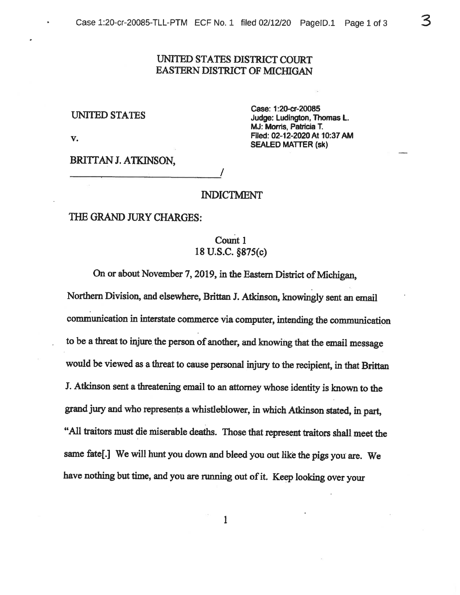# UNITED STATES DISTRICT COURT **EASTERN DISTRICT OF MICHIGAN**

#### **UNITED STATES**

V.

Case: 1:20-cr-20085 Judge: Ludington, Thomas L. MJ: Morris, Patricia T. Filed: 02-12-2020 At 10:37 AM **SEALED MATTER (sk)** 

ろ

BRITTAN J. ATKINSON,

#### **INDICTMENT**

#### THE GRAND JURY CHARGES:

# Count 1 18 U.S.C. §875(c)

On or about November 7, 2019, in the Eastern District of Michigan,

Northern Division, and elsewhere, Brittan J. Atkinson, knowingly sent an email communication in interstate commerce via computer, intending the communication to be a threat to injure the person of another, and knowing that the email message would be viewed as a threat to cause personal injury to the recipient, in that Brittan J. Atkinson sent a threatening email to an attorney whose identity is known to the grand jury and who represents a whistleblower, in which Atkinson stated, in part, "All traitors must die miserable deaths. Those that represent traitors shall meet the same fate[.] We will hunt you down and bleed you out like the pigs you are. We have nothing but time, and you are running out of it. Keep looking over your

1